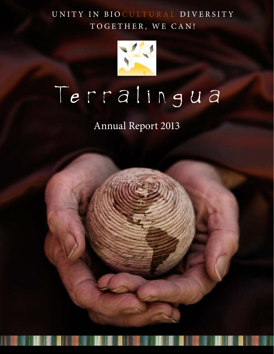UNITY IN BIO CULTURAL DIVERSITY TOGETHER, WE CAN!



# Terralingua

Annual Report 2013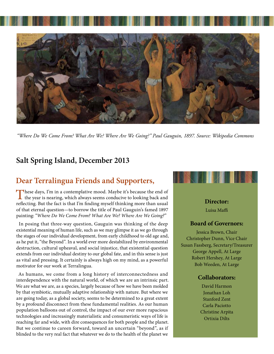

*"Where Do We Come From? What Are We? Where Are We Going?" Paul Gauguin, 1897. Source: Wikipedia Commons*

## **Salt Spring Island, December 2013**

## **Dear Terralingua Friends and Supporters,**

These days, I'm in a contemplative mood. Maybe it's because the end of  $\mathsf{\mathsf{L}}$  the year is nearing, which always seems conducive to looking back and reflecting. But the fact is that I'm finding myself thinking more than usual of that eternal question—to borrow the title of Paul Gauguin's famed 1897 painting: "*Where Do We Come From? What Are We? Where Are We Going?*"

In posing that three-way question, Gauguin was thinking of the deep existential meaning of human life, such as we may glimpse it as we go through the stages of our individual development, from early childhood to old age and, as he put it, "the Beyond". In a world ever more destabilized by environmental destruction, cultural upheaval, and social injustice, that existential question extends from our individual destiny to our global fate, and in this sense is just as vital and pressing. It certainly is always high on my mind, as a powerful motivator for our work at Terralingua.

As humans, we come from a long history of interconnectedness and interdependence with the natural world, of which we are an intrinsic part. We are what we are, as a species, largely because of how we have been molded by that symbiotic, mutually adaptive relationship with nature. But where we are going today, as a global society, seems to be determined to a great extent by a profound disconnect from these fundamental realities. As our human population balloons out of control, the impact of our ever more rapacious technologies and increasingly materialistic and consumeristic ways of life is reaching far and wide, with dire consequences for both people and the planet. But we continue to careen forward, toward an uncertain "beyond", as if blinded to the very real fact that whatever we do to the health of the planet we



**Director:**

Luisa Maffi

## **Board of Governors:**

Jessica Brown, Chair Christopher Dunn, Vice Chair Susan Fassberg, Secretary/Treasurer George Appell, At Large Robert Hershey, At Large Bob Weeden, At Large

## **Collaborators:**

David Harmon Jonathan Loh Stanford Zent Carla Paciotto Christine Arpita Ortixia Dilts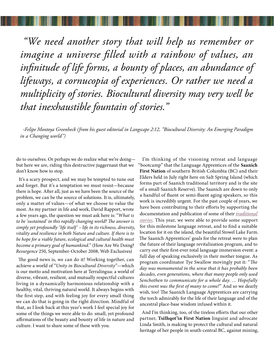*"We need another story that will help us remember or imagine a universe filled with a rainbow of values, an infinitude of life forms, a bounty of places, an abundance of lifeways, a cornucopia of experiences. Or rather we need a multiplicity of stories. Biocultural diversity may very well be that inexhaustible fountain of stories."* 

*-Felipe Montoya Greenheck (from his guest editorial in Langscape 2:12, "Biocultural Diversity: An Emerging Paradigm in a Changing world")*

do to ourselves. Or perhaps we do realize what we're doing but here we are, riding this destructive juggernaut that we don't know how to stop.

It's a scary prospect, and we may be tempted to tune out and forget. But it's a temptation we must resist—because there is hope. After all, just as we have been the source of the problem, we can be the source of solutions. It is, ultimately, only a matter of values—of what we choose to value the most. As my partner in life and work, David Rapport, wrote a few years ago, the question we must ask here is: "*What is to be 'sustained' in this rapidly changing world? The answer is simply yet profoundly 'life itself' – life in its richness, diversity, vitality and resilience in both Nature and culture. If there is to be hope for a viable future, ecological and cultural health must become a primary goal of humankind.*" (How Are We Doing? *Resurgence* 250, September-October 2008, Web Exclusives)

The good news is, we can do it! Working together, can achieve a world of "*Unity in Biocultural Diversity*"—which is our motto and motivation here at Terralingua: a world of diverse, vibrant, resilient, and mutually respectful cultures living in a dynamically harmonious relationship with a healthy, vital, thriving natural world. It always begins with the first step, and with feeling joy for every small thing we can do that is going in the right direction. Mindful of that, as I look back at this year's work I feel special joy for some of the things we were able to do: small, yet profound affirmations of the beauty and bounty of life in nature and culture. I want to share some of these with you.

I'm thinking of the visioning retreat and language "bootcamp" that the Language Apprentices of the **Saanich First Nation** of southern British Columbia (BC) and their Elders held in July right here on Salt Spring Island (which forms part of Saanich traditional territory and is the site of a small Saanich Reserve). The Saanich are down to only a handful of fluent or semi-fluent aging speakers, so this work is incredibly urgent. For the past couple of years, we have been contributing to their efforts by supporting the documentation and publication of some of their *[traditional](http://www.terralingua.org/voicesoftheearth/saanich/)  [stories](http://www.terralingua.org/voicesoftheearth/saanich/)*. This year, we were able to provide some support for this milestone language retreat, and to find a suitable location for it on the island, the beautiful Stowel Lake Farm. The Saanich Apprentices' goals for the retreat were to plan the future of their language revitalization program, and to carry out their first-ever total language immersion event: a full day of speaking exclusively in their mother tongue. As program coordinator Tye Swallow movingly put it: "*The day was monumental in the sense that it has probably been decades, even generations, where that many people only used Senchothen to communicate for a whole day. … Hopefully this event was the first of many to come!*" And so we dearly wish, too! The Saanich Language Apprentices are carrying the torch admirably for the life of their language and of the ancestral place-base wisdom infused within it.

And I'm thinking, too, of the tireless efforts that our other partner, **Tsilhqot'in First Nation** linguist and advocate Linda Smith, is making to protect the cultural and natural heritage of her people in south-central BC, against mining,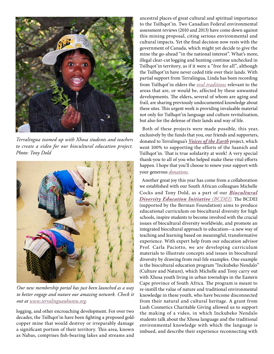

*Terralingua teamed up with Xhosa students and teachers to create a video for our biocultural education project. Photo: Tony Dold*



*Our new membership portal has just been launched as a way to better engage and nuture our amazing network. Check it out at [www.terralinguaubuntu.org](http://www.terralinguaubuntu.org).*

logging, and other encroaching development. For over two decades, the Tsilhqot'in have been fighting a proposed goldcopper mine that would destroy or irreparably damage a significant portion of their territory. This area, known as Nabas, comprises fish-bearing lakes and streams and

ancestral places of great cultural and spiritual importance to the Tsilhqot'in. Two Canadian Federal environmental assessment reviews (2010 and 2013) have come down against this mining proposal, citing serious environmental and cultural impacts. Yet the final decision now rests with the government of Canada, which might yet decide to give the mine the go-ahead "in the national interest". What's more, illegal clear-cut logging and hunting continue unchecked in Tsilhqot'in territory, as if it were a "free for all", although the Tsilhqot'in have never ceded title over their lands. With partial support from Terralingua, Linda has been recording from Tsilhqot'in elders the *[oral traditions](http://www.terralingua.org/voicesoftheearth/tsilhqotin/)* relevant to the areas that are, or would be, affected by these unwanted developments. The elders, several of whom are aging and frail, are sharing previously undocumented knowledge about these sites. This urgent work is providing invaluable material not only for Tsilhqot'in language and culture revitalization, but also for the defense of their lands and way of life.

Both of these projects were made possible, this year, exclusively by the funds that you, our friends and supporters, donated to Terralingua's *[Voices of the Earth](http://www.terralingua.org/voicesoftheearth/)* project, which went 100% to supporting the efforts of the Saanich and Tsilhqot'in. That is true solidarity at work! A very special thank-you to all of you who helped make these vital efforts happen. I hope that you'll choose to renew your support with your generous *[donations](http://terralinguaubuntu.worldsecuresystems.com/donate)*.

Another great joy this year has come from a collaboration we established with our South African colleagues Michelle Cocks and Tony Dold, as a part of our *[Biocultural](http://www.terralingua.org/bcdeducation/)  [Diversity Education Initiative](http://www.terralingua.org/bcdeducation/) (BCDEI)*. The BCDEI (supported by the Berman Foundation) aims to produce educational curriculum on biocultural diversity for high schools, inspire students to become involved with the crucial issues of biocultural diversity worldwide, and promote an integrated biocultural approach to education—a new way of teaching and learning based on meaningful, transformative experience. With expert help from our education advisor Prof. Carla Paciotto, we are developing curriculum materials to illustrate concepts and issues in biocultural diversity by drawing from real-life examples. One example is the biocultural education program "Inckubeko Nendalo" (Culture and Nature), which Michelle and Tony carry out with Xhosa youth living in urban townships in the Eastern Cape province of South Africa. The program is meant to re-instill the value of nature and traditional environmental knowledge in these youth, who have become disconnected from their natural and cultural heritage. A grant from Lush Cosmetics Charitable Giving allowed us to support the making of a video, in which Inckubeko Nendalo students talk about the Xhosa language and the traditional environmental knowledge with which the language is imbued, and describe their experience reconnecting with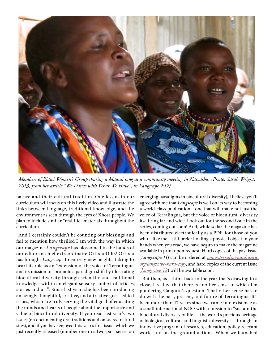

*Members of Elawi Women's Group sharing a Maasai song at a community meeting in Naivasha. (Photo: Sarah Wright, 2013, from her article "We Dance with What We Have", in Langscape 2:12)*

nature and their cultural tradition. One lesson in our curriculum will focus on this lively video and illustrate the links between language, traditional knowledge, and the environment as seen through the eyes of Xhosa people. We plan to include similar "real-life" materials throughout the curriculum.

And I certainly couldn't be counting our blessings and fail to mention how thrilled I am with the way in which our magazine *[Langscape](http://www.terralingua.org/lit/langscape)* has blossomed in the hands of our editor-in-chief extraordinaire Ortixia Dilts! Ortixia has brought *Langscape* to entirely new heights, taking to heart its role as an "extension of the voice of Terralingua" and its mission to "promote a paradigm shift by illustrating biocultural diversity through scientific and traditional knowledge, within an elegant sensory context of articles, stories and art". Since last year, she has been producing amazingly thoughtful, creative, and attractive guest-edited issues, which are truly serving the vital goal of educating the minds and hearts of people about the importance and value of biocultural diversity. If you read last year's two issues (on documenting oral traditions and on sacred natural sites), and if you have enjoyed this year's first issue, which we just recently released (number one in a two-part series on

emerging paradigms in biocultural diversity), I believe you'll agree with me that *Langscape* is well on its way to becoming a world-class publication—one that will make not just the voice of Terralingua, but the voice of biocultural diversity itself ring far and wide. Look out for the second issue in the series, coming out soon! And, while so far the magazine has been distributed electronically as a PDF, for those of you who—like me—still prefer holding a physical object in your hands when you read, we have begun to make the magazine available in print upon request. Hard copies of the past issue (*Langscape 11*) can be ordered at *[www.terralinguaubuntu.](http://www.terralinguaubuntu.org/langscape-hard-copy) [org/langscape-hard-copy](http://www.terralinguaubuntu.org/langscape-hard-copy)*, and hard copies of the current issue (*[Langscape 12](http://www.terralingua.org/lit/langscape)*) will be available soon.

But then, as I think back to the year that's drawing to a close, I realize that there is another sense in which I'm pondering Gauguin's question. That other sense has to do with the past, present, and future of Terralingua. It's been more than 17 years since we came into existence as a small international NGO with a mission to "sustain the biocultural diversity of life — the world's precious heritage of biological, cultural, and linguistic diversity — through an innovative program of research, education, policy-relevant work, and on-the-ground action". When we launched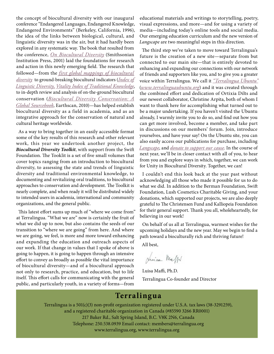the concept of biocultural diversity with our inaugural conference "Endangered Languages, Endangered Knowledge, Endangered Environments" (Berkeley, California, 1996), the idea of the links between biological, cultural, and linguistic diversity was in the air, but it had hardly been explored in any systematic way. The book that resulted from the conference, *[On Biocultural Diversity](http://www.terralinguaubuntu.org/books/on-biocultural-diversity-link)* (Smithsonian Institution Press, 2001) laid the foundations for research and action in this newly emerging field. The research that followed—from the *[first global mappings of biocultural](http://www.terralingua.org/lit/mf/)  [diversity](http://www.terralingua.org/lit/mf/)* to ground-breaking biocultural indicators (*[Index of](http://www.terralingua.org/linguisticdiversity)  [Linguistic Diversity,](http://www.terralingua.org/linguisticdiversity) [Vitality Index of Traditional Knowledge](http://www.terralingua.org/vitek)*, to in-depth review and analysis of on-the-ground biocultural conservation (*[Biocultural Diversity Conservation: A](http://http://www.terralinguaubuntu.org/books/biocultural-diversity-conservation-a-global-sourcebook)  [Global Sourcebook](http://http://www.terralinguaubuntu.org/books/biocultural-diversity-conservation-a-global-sourcebook)*, Earthscan, 2010)—has helped establish biocultural diversity as a field in academia, and as an integrative approach for the conservation of natural and cultural heritage worldwide.

As a way to bring together in an easily accessible format some of the key results of this research and other relevant work, this year we undertook another project, the *Biocultural Diversity Toolkit*, with support from the Swift Foundation. The Tooklit is a set of five small volumes that cover topics ranging from an introduction to biocultural diversity, to assessing the state and trends of linguistic diversity and traditional environmental knowledge, to documenting and revitalizing oral traditions, to biocultural approaches to conservation and development. The Toolkit is nearly complete, and when ready it will be distributed widely to intended users in academia, international and community organizations, and the general public.

This latest effort sums up much of "where we come from" at Terralingua. "What we are" now is certainly the fruit of what we did up to now, but also contains the seeds of our transition to "where we are going" from here. And where we are going, we feel, is more and more toward enhancing and expanding the education and outreach aspects of our work. If that change in values that I spoke of above is going to happen, it is going to happen through an intensive effort to convey as broadly as possible the vital importance of biocultural diversity—and of a biocultural approach not only to research, practice, and education, but to life itself. This effort calls for communicating with the general public, and particularly youth, in a variety of forms—from

educational materials and writings to storytelling, poetry, visual expressions, and more—and for using a variety of media—including today's online tools and social media. Our emerging education curriculum and the new version of *Langscape* are two meaningful steps in this direction.

The third step we've taken to move toward Terralingua's future is the creation of a new site—separate from but connected to our main site—that is entirely devoted to enhancing and expanding our connections with our network of friends and supporters like you, and to give you a greater voice within Terralingua. We call it *["Terralingua Ubuntu"](http://www.terralinguaubuntu.org)* (*[www.terralinguaubuntu.org](http://www.terralinguaubuntu.org)*) and it was created through the combined effort and dedication of Ortixia Dilts and our newest collaborator, Christine Arpita, both of whom I want to thank here for accomplishing what turned out to be a major undertaking. If you haven't visited the Ubuntu already, I warmly invite you to do so, and find out how you can get more involved, become a member, and take part in discussions on our members' forum. Join, introduce yourselves, and have your say! On the Ubuntu site, you can also easily access our publications for purchase, including *[Langscape](http://http://www.terralinguaubuntu.org/langscape-hard-copy)*, and *[donate to support our cause](http://http://terralinguaubuntu.worldsecuresystems.com/donate)*. In the course of next year, we'll be in closer contact with all of you, to hear from you and explore ways in which, together, we can work for Unity in Biocultural Diversity. Together, we can!

I couldn't end this look back at the year past without acknowledging all those who made it possible for us to do what we did. In addition to the Berman Foundation, Swift Foundation, Lush Cosmetics Charitable Giving, and your donations, which supported our projects, we are also deeply grateful to The Christensen Fund and Kalliopeia Foundation for their general support. Thank you all, wholeheartedly, for believing in our work!

On behalf of us all at Terralingua, warmest wishes for the upcoming holidays and the new year. May we begin to find a path toward a bioculturally rich and thriving future!

All best,

Juica Meg

Luisa Maffi, Ph.D. Terralingua Co-founder and Director

## **Terralingua**

Terralingua is a 501(c)(3) non-profit organization registered under U.S.A. tax laws (38-3291259), and a registered charitable organization in Canada (#85590 3266 RR0001) 217 Baker Rd., Salt Spring Island, B.C. V8K 2N6, Canada Telephone: 250.538.0939 Email contact: members@terralingua.org www.terralingua.org, www.terralingua.org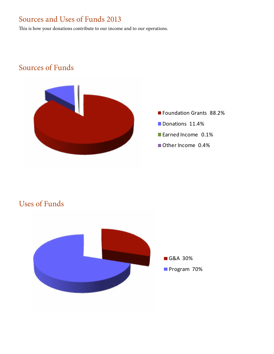# Sources and Uses of Funds 2013

This is how your donations contribute to our income and to our operations.

## Sources of Funds



- **Foundation Grants 88.2%**
- Donations 11.4%
- Earned Income 0.1%
- Other Income 0.4%



## Uses of Funds